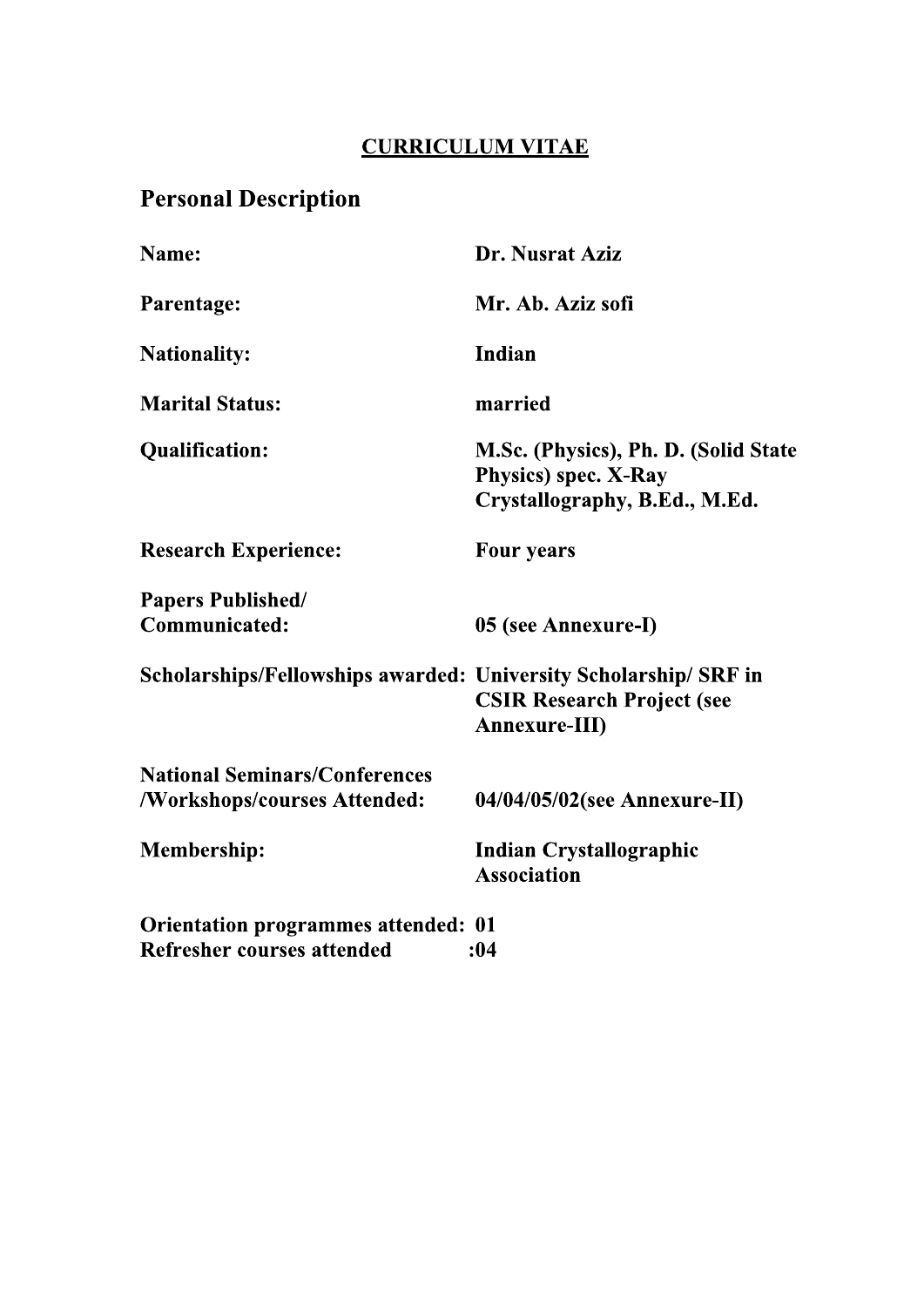# **CURRICULUM VITAE**

# **Personal Description**

| Name:                                                            | Dr. Nusrat Aziz                                                                                       |
|------------------------------------------------------------------|-------------------------------------------------------------------------------------------------------|
| Parentage:                                                       | Mr. Ab. Aziz sofi                                                                                     |
| <b>Nationality:</b>                                              | Indian                                                                                                |
| <b>Marital Status:</b>                                           | married                                                                                               |
| <b>Qualification:</b>                                            | M.Sc. (Physics), Ph. D. (Solid State<br><b>Physics</b> ) spec. X-Ray<br>Crystallography, B.Ed., M.Ed. |
| <b>Research Experience:</b>                                      | <b>Four years</b>                                                                                     |
| <b>Papers Published/</b>                                         |                                                                                                       |
| <b>Communicated:</b>                                             | 05 (see Annexure-I)                                                                                   |
| Scholarships/Fellowships awarded: University Scholarship/ SRF in | <b>CSIR Research Project (see</b><br><b>Annexure-III)</b>                                             |
| <b>National Seminars/Conferences</b>                             |                                                                                                       |
| /Workshops/courses Attended:                                     | $04/04/05/02$ (see Annexure-II)                                                                       |
| <b>Membership:</b>                                               | <b>Indian Crystallographic</b><br><b>Association</b>                                                  |
| <b>Orientation programmes attended: 01</b>                       |                                                                                                       |
| <b>Refresher courses attended</b>                                | :04                                                                                                   |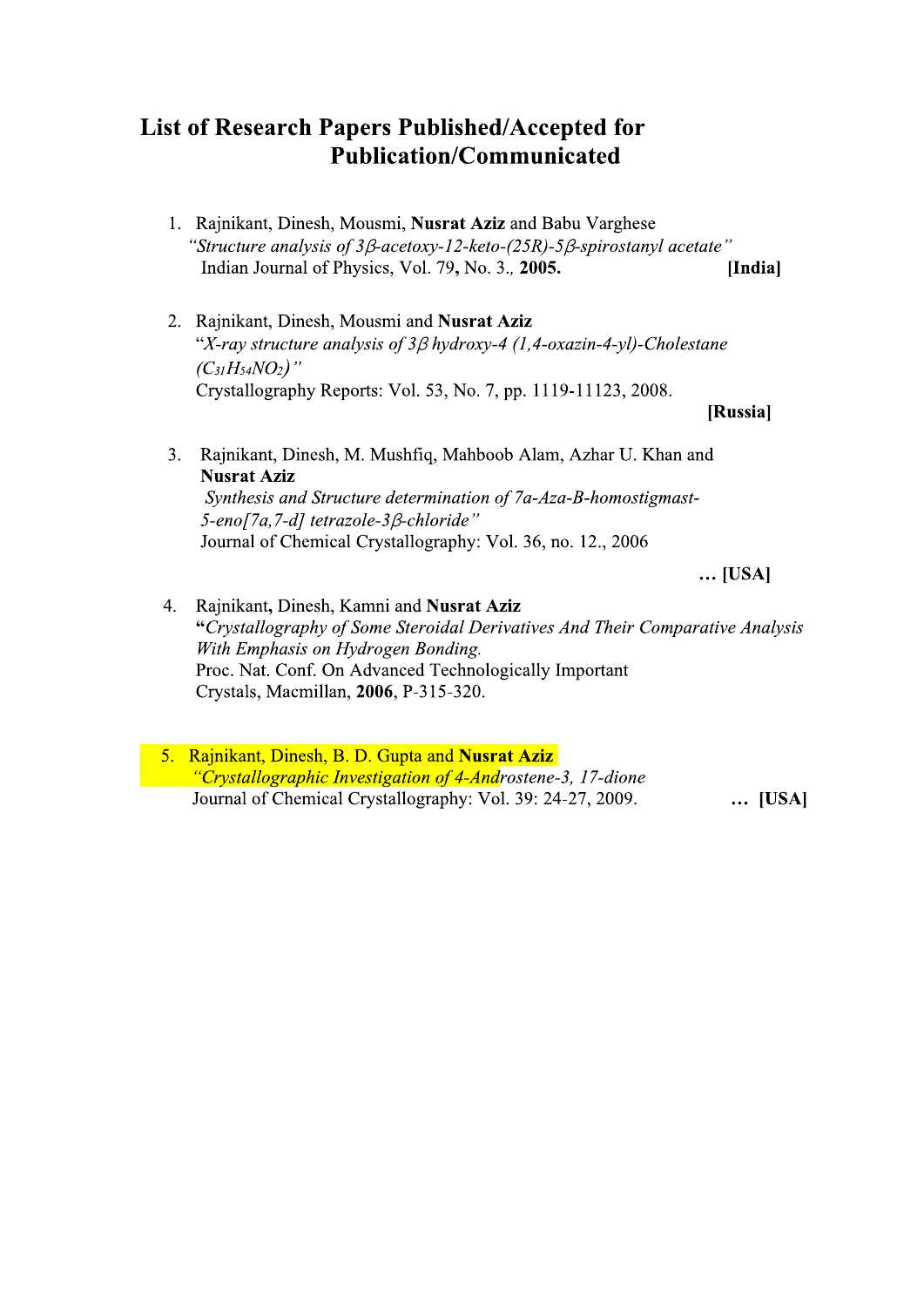### **List of Research Papers Published/Accepted for Publication/Communicated**

- 1. Rajnikant, Dinesh, Mousmi, Nusrat Aziz and Babu Varghese "Structure analysis of  $3\beta$ -acetoxy-12-keto-(25R)-5 $\beta$ -spirostanyl acetate" Indian Journal of Physics, Vol. 79, No. 3., 2005. [India]
- 2. Rajnikant, Dinesh, Mousmi and Nusrat Aziz "X-ray structure analysis of  $3\beta$  hydroxy-4 (1,4-oxazin-4-yl)-Cholestane  $(C_{31}H_{54}NO_2)$ " Crystallography Reports: Vol. 53, No. 7, pp. 1119-11123, 2008.

[Russia]

3. Rajnikant, Dinesh, M. Mushfiq, Mahboob Alam, Azhar U. Khan and **Nusrat Aziz** Synthesis and Structure determination of 7a-Aza-B-homostigmast-5-eno[7a,7-d] tetrazole-3ß-chloride"

Journal of Chemical Crystallography: Vol. 36, no. 12., 2006

 $\ldots$  [USA]

- 4. Rajnikant, Dinesh, Kamni and Nusrat Aziz "Crystallography of Some Steroidal Derivatives And Their Comparative Analysis With Emphasis on Hydrogen Bonding. Proc. Nat. Conf. On Advanced Technologically Important Crystals, Macmillan, 2006, P-315-320.
- 5. Rajnikant, Dinesh, B. D. Gupta and Nusrat Aziz "Crystallographic Investigation of 4-Androstene-3, 17-dione Journal of Chemical Crystallography: Vol. 39: 24-27, 2009. ... [USA]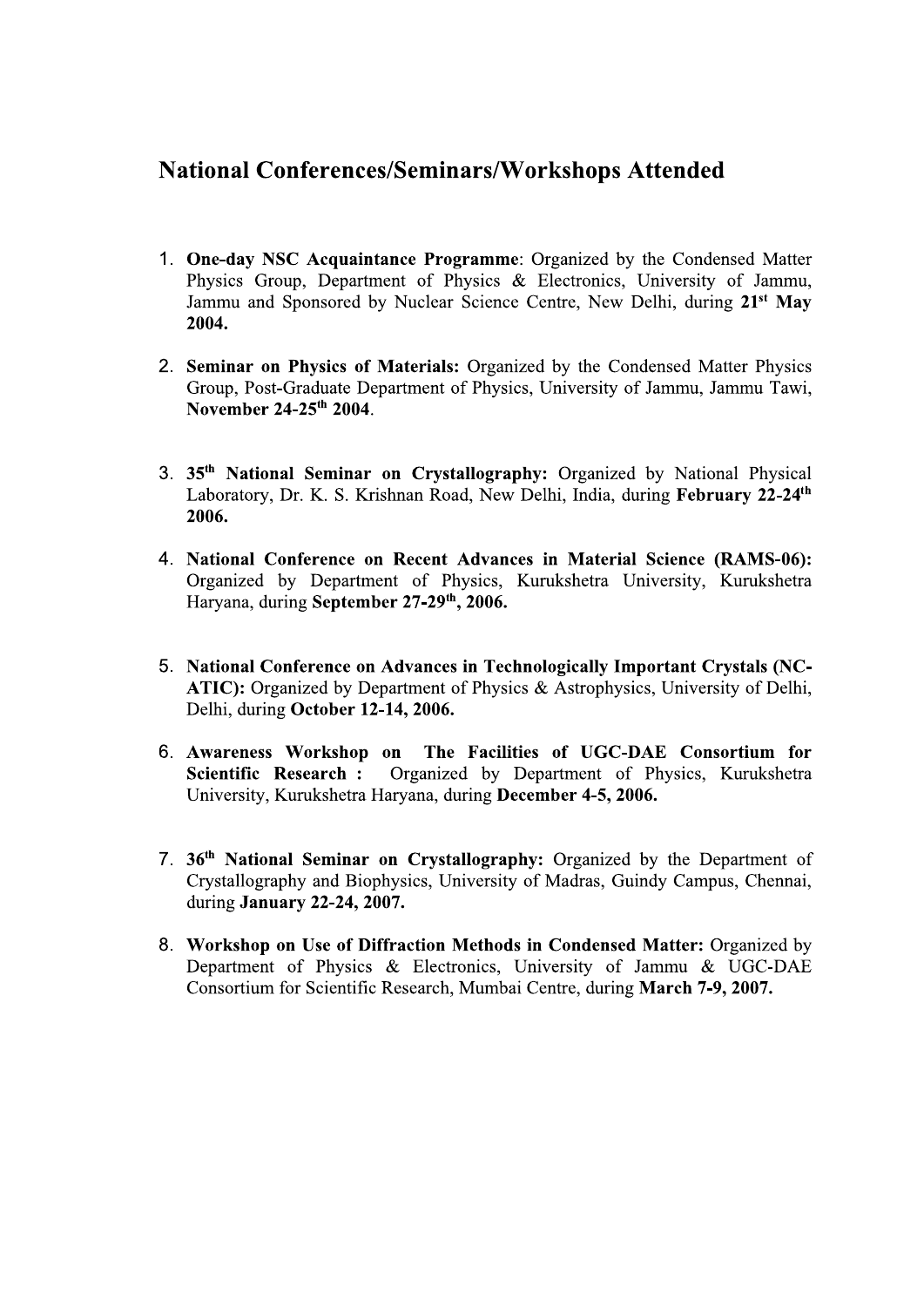### **National Conferences/Seminars/Workshops Attended**

- 1. One-day NSC Acquaintance Programme: Organized by the Condensed Matter Physics Group, Department of Physics & Electronics, University of Jammu, Jammu and Sponsored by Nuclear Science Centre, New Delhi, during 21<sup>st</sup> May 2004.
- 2. Seminar on Physics of Materials: Organized by the Condensed Matter Physics Group, Post-Graduate Department of Physics, University of Jammu, Jammu Tawi, November 24-25<sup>th</sup> 2004.
- 3. 35<sup>th</sup> National Seminar on Crystallography: Organized by National Physical Laboratory, Dr. K. S. Krishnan Road, New Delhi, India, during February 22-24<sup>th</sup> 2006.
- 4. National Conference on Recent Advances in Material Science (RAMS-06): Organized by Department of Physics, Kurukshetra University, Kurukshetra Haryana, during September 27-29th, 2006.
- 5. National Conference on Advances in Technologically Important Crystals (NC-ATIC): Organized by Department of Physics & Astrophysics, University of Delhi, Delhi, during October 12-14, 2006.
- 6. Awareness Workshop on The Facilities of UGC-DAE Consortium for Scientific Research : Organized by Department of Physics, Kurukshetra University, Kurukshetra Haryana, during December 4-5, 2006.
- 7. 36<sup>th</sup> National Seminar on Crystallography: Organized by the Department of Crystallography and Biophysics, University of Madras, Guindy Campus, Chennai, during January 22-24, 2007.
- 8. Workshop on Use of Diffraction Methods in Condensed Matter: Organized by Department of Physics & Electronics, University of Jammu & UGC-DAE Consortium for Scientific Research, Mumbai Centre, during March 7-9, 2007.